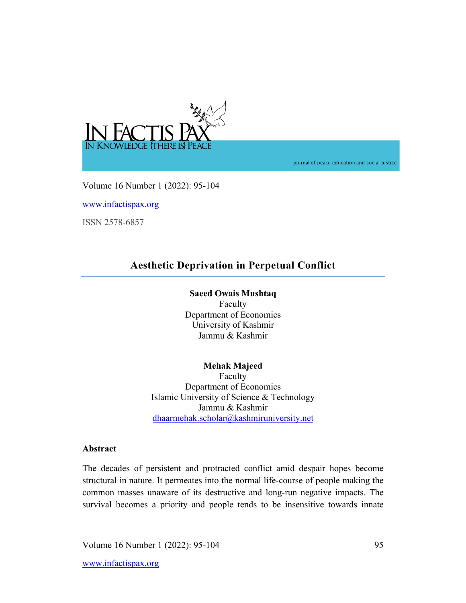

journal of peace education and social justice

Volume 16 Number 1 (2022): 95-104

www.infactispax.org

ISSN 2578-6857

# **Aesthetic Deprivation in Perpetual Conflict**

# **Saeed Owais Mushtaq**

Faculty Department of Economics University of Kashmir Jammu & Kashmir

**Mehak Majeed**  Faculty Department of Economics Islamic University of Science & Technology Jammu & Kashmir dhaarmehak.scholar@kashmiruniversity.net

# **Abstract**

The decades of persistent and protracted conflict amid despair hopes become structural in nature. It permeates into the normal life-course of people making the common masses unaware of its destructive and long-run negative impacts. The survival becomes a priority and people tends to be insensitive towards innate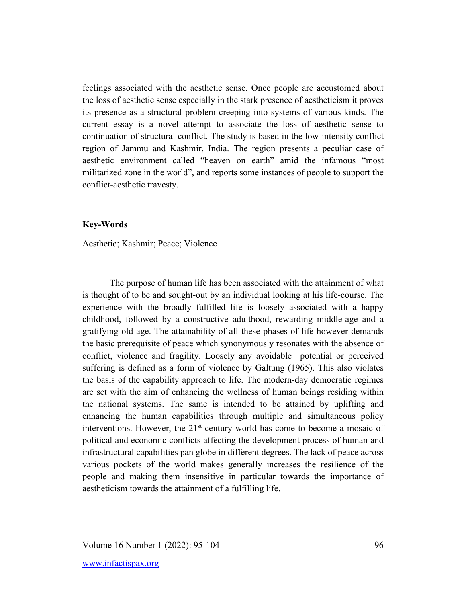feelings associated with the aesthetic sense. Once people are accustomed about the loss of aesthetic sense especially in the stark presence of aestheticism it proves its presence as a structural problem creeping into systems of various kinds. The current essay is a novel attempt to associate the loss of aesthetic sense to continuation of structural conflict. The study is based in the low-intensity conflict region of Jammu and Kashmir, India. The region presents a peculiar case of aesthetic environment called "heaven on earth" amid the infamous "most militarized zone in the world", and reports some instances of people to support the conflict-aesthetic travesty.

## **Key-Words**

Aesthetic; Kashmir; Peace; Violence

The purpose of human life has been associated with the attainment of what is thought of to be and sought-out by an individual looking at his life-course. The experience with the broadly fulfilled life is loosely associated with a happy childhood, followed by a constructive adulthood, rewarding middle-age and a gratifying old age. The attainability of all these phases of life however demands the basic prerequisite of peace which synonymously resonates with the absence of conflict, violence and fragility. Loosely any avoidable potential or perceived suffering is defined as a form of violence by Galtung (1965). This also violates the basis of the capability approach to life. The modern-day democratic regimes are set with the aim of enhancing the wellness of human beings residing within the national systems. The same is intended to be attained by uplifting and enhancing the human capabilities through multiple and simultaneous policy interventions. However, the  $21<sup>st</sup>$  century world has come to become a mosaic of political and economic conflicts affecting the development process of human and infrastructural capabilities pan globe in different degrees. The lack of peace across various pockets of the world makes generally increases the resilience of the people and making them insensitive in particular towards the importance of aestheticism towards the attainment of a fulfilling life.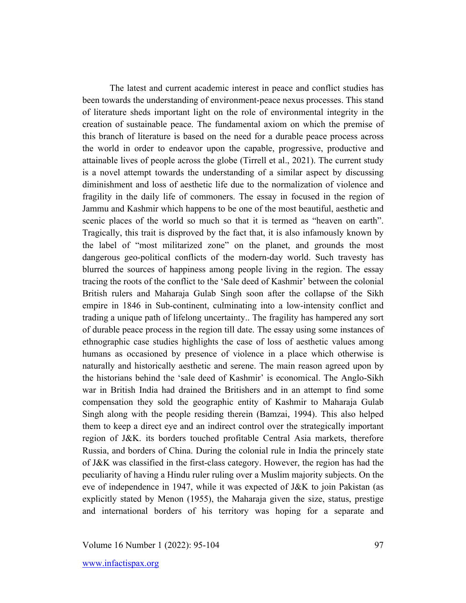The latest and current academic interest in peace and conflict studies has been towards the understanding of environment-peace nexus processes. This stand of literature sheds important light on the role of environmental integrity in the creation of sustainable peace. The fundamental axiom on which the premise of this branch of literature is based on the need for a durable peace process across the world in order to endeavor upon the capable, progressive, productive and attainable lives of people across the globe (Tirrell et al., 2021). The current study is a novel attempt towards the understanding of a similar aspect by discussing diminishment and loss of aesthetic life due to the normalization of violence and fragility in the daily life of commoners. The essay in focused in the region of Jammu and Kashmir which happens to be one of the most beautiful, aesthetic and scenic places of the world so much so that it is termed as "heaven on earth". Tragically, this trait is disproved by the fact that, it is also infamously known by the label of "most militarized zone" on the planet, and grounds the most dangerous geo-political conflicts of the modern-day world. Such travesty has blurred the sources of happiness among people living in the region. The essay tracing the roots of the conflict to the 'Sale deed of Kashmir' between the colonial British rulers and Maharaja Gulab Singh soon after the collapse of the Sikh empire in 1846 in Sub-continent, culminating into a low-intensity conflict and trading a unique path of lifelong uncertainty.. The fragility has hampered any sort of durable peace process in the region till date. The essay using some instances of ethnographic case studies highlights the case of loss of aesthetic values among humans as occasioned by presence of violence in a place which otherwise is naturally and historically aesthetic and serene. The main reason agreed upon by the historians behind the 'sale deed of Kashmir' is economical. The Anglo-Sikh war in British India had drained the Britishers and in an attempt to find some compensation they sold the geographic entity of Kashmir to Maharaja Gulab Singh along with the people residing therein (Bamzai, 1994). This also helped them to keep a direct eye and an indirect control over the strategically important region of J&K. its borders touched profitable Central Asia markets, therefore Russia, and borders of China. During the colonial rule in India the princely state of J&K was classified in the first-class category. However, the region has had the peculiarity of having a Hindu ruler ruling over a Muslim majority subjects. On the eve of independence in 1947, while it was expected of J&K to join Pakistan (as explicitly stated by Menon (1955), the Maharaja given the size, status, prestige and international borders of his territory was hoping for a separate and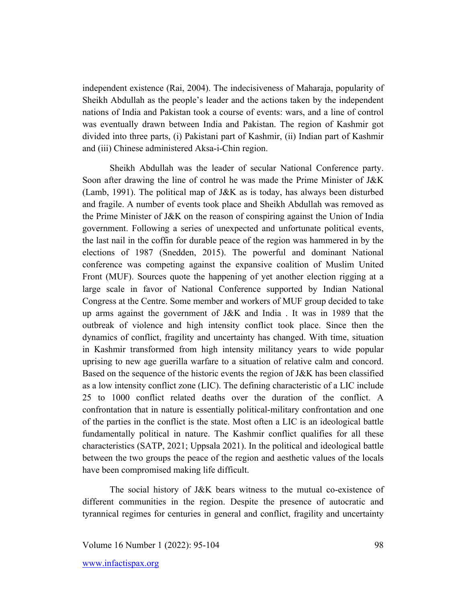independent existence (Rai, 2004). The indecisiveness of Maharaja, popularity of Sheikh Abdullah as the people's leader and the actions taken by the independent nations of India and Pakistan took a course of events: wars, and a line of control was eventually drawn between India and Pakistan. The region of Kashmir got divided into three parts, (i) Pakistani part of Kashmir, (ii) Indian part of Kashmir and (iii) Chinese administered Aksa-i-Chin region.

Sheikh Abdullah was the leader of secular National Conference party. Soon after drawing the line of control he was made the Prime Minister of J&K (Lamb, 1991). The political map of J&K as is today, has always been disturbed and fragile. A number of events took place and Sheikh Abdullah was removed as the Prime Minister of J&K on the reason of conspiring against the Union of India government. Following a series of unexpected and unfortunate political events, the last nail in the coffin for durable peace of the region was hammered in by the elections of 1987 (Snedden, 2015). The powerful and dominant National conference was competing against the expansive coalition of Muslim United Front (MUF). Sources quote the happening of yet another election rigging at a large scale in favor of National Conference supported by Indian National Congress at the Centre. Some member and workers of MUF group decided to take up arms against the government of J&K and India . It was in 1989 that the outbreak of violence and high intensity conflict took place. Since then the dynamics of conflict, fragility and uncertainty has changed. With time, situation in Kashmir transformed from high intensity militancy years to wide popular uprising to new age guerilla warfare to a situation of relative calm and concord. Based on the sequence of the historic events the region of J&K has been classified as a low intensity conflict zone (LIC). The defining characteristic of a LIC include 25 to 1000 conflict related deaths over the duration of the conflict. A confrontation that in nature is essentially political-military confrontation and one of the parties in the conflict is the state. Most often a LIC is an ideological battle fundamentally political in nature. The Kashmir conflict qualifies for all these characteristics (SATP, 2021; Uppsala 2021). In the political and ideological battle between the two groups the peace of the region and aesthetic values of the locals have been compromised making life difficult.

The social history of J&K bears witness to the mutual co-existence of different communities in the region. Despite the presence of autocratic and tyrannical regimes for centuries in general and conflict, fragility and uncertainty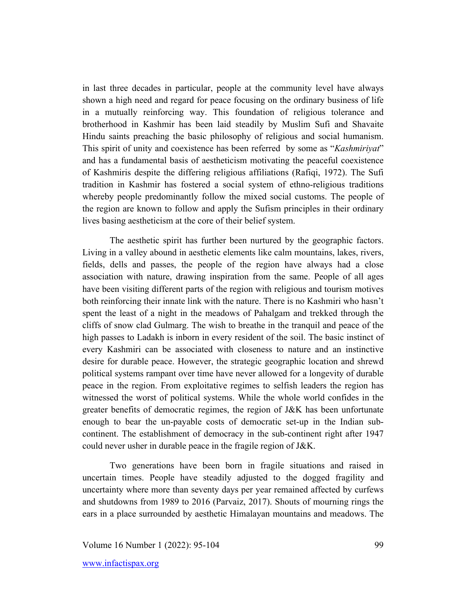in last three decades in particular, people at the community level have always shown a high need and regard for peace focusing on the ordinary business of life in a mutually reinforcing way. This foundation of religious tolerance and brotherhood in Kashmir has been laid steadily by Muslim Sufi and Shavaite Hindu saints preaching the basic philosophy of religious and social humanism. This spirit of unity and coexistence has been referred by some as "*Kashmiriyat*" and has a fundamental basis of aestheticism motivating the peaceful coexistence of Kashmiris despite the differing religious affiliations (Rafiqi, 1972). The Sufi tradition in Kashmir has fostered a social system of ethno-religious traditions whereby people predominantly follow the mixed social customs. The people of the region are known to follow and apply the Sufism principles in their ordinary lives basing aestheticism at the core of their belief system.

The aesthetic spirit has further been nurtured by the geographic factors. Living in a valley abound in aesthetic elements like calm mountains, lakes, rivers, fields, dells and passes, the people of the region have always had a close association with nature, drawing inspiration from the same. People of all ages have been visiting different parts of the region with religious and tourism motives both reinforcing their innate link with the nature. There is no Kashmiri who hasn't spent the least of a night in the meadows of Pahalgam and trekked through the cliffs of snow clad Gulmarg. The wish to breathe in the tranquil and peace of the high passes to Ladakh is inborn in every resident of the soil. The basic instinct of every Kashmiri can be associated with closeness to nature and an instinctive desire for durable peace. However, the strategic geographic location and shrewd political systems rampant over time have never allowed for a longevity of durable peace in the region. From exploitative regimes to selfish leaders the region has witnessed the worst of political systems. While the whole world confides in the greater benefits of democratic regimes, the region of J&K has been unfortunate enough to bear the un-payable costs of democratic set-up in the Indian subcontinent. The establishment of democracy in the sub-continent right after 1947 could never usher in durable peace in the fragile region of J&K.

Two generations have been born in fragile situations and raised in uncertain times. People have steadily adjusted to the dogged fragility and uncertainty where more than seventy days per year remained affected by curfews and shutdowns from 1989 to 2016 (Parvaiz, 2017). Shouts of mourning rings the ears in a place surrounded by aesthetic Himalayan mountains and meadows. The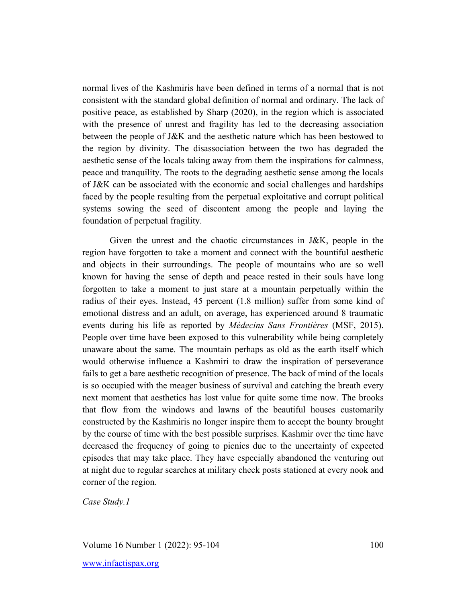normal lives of the Kashmiris have been defined in terms of a normal that is not consistent with the standard global definition of normal and ordinary. The lack of positive peace, as established by Sharp (2020), in the region which is associated with the presence of unrest and fragility has led to the decreasing association between the people of J&K and the aesthetic nature which has been bestowed to the region by divinity. The disassociation between the two has degraded the aesthetic sense of the locals taking away from them the inspirations for calmness, peace and tranquility. The roots to the degrading aesthetic sense among the locals of J&K can be associated with the economic and social challenges and hardships faced by the people resulting from the perpetual exploitative and corrupt political systems sowing the seed of discontent among the people and laying the foundation of perpetual fragility.

Given the unrest and the chaotic circumstances in J&K, people in the region have forgotten to take a moment and connect with the bountiful aesthetic and objects in their surroundings. The people of mountains who are so well known for having the sense of depth and peace rested in their souls have long forgotten to take a moment to just stare at a mountain perpetually within the radius of their eyes. Instead, 45 percent (1.8 million) suffer from some kind of emotional distress and an adult, on average, has experienced around 8 traumatic events during his life as reported by *Médecins Sans Frontières* (MSF, 2015). People over time have been exposed to this vulnerability while being completely unaware about the same. The mountain perhaps as old as the earth itself which would otherwise influence a Kashmiri to draw the inspiration of perseverance fails to get a bare aesthetic recognition of presence. The back of mind of the locals is so occupied with the meager business of survival and catching the breath every next moment that aesthetics has lost value for quite some time now. The brooks that flow from the windows and lawns of the beautiful houses customarily constructed by the Kashmiris no longer inspire them to accept the bounty brought by the course of time with the best possible surprises. Kashmir over the time have decreased the frequency of going to picnics due to the uncertainty of expected episodes that may take place. They have especially abandoned the venturing out at night due to regular searches at military check posts stationed at every nook and corner of the region.

*Case Study.1*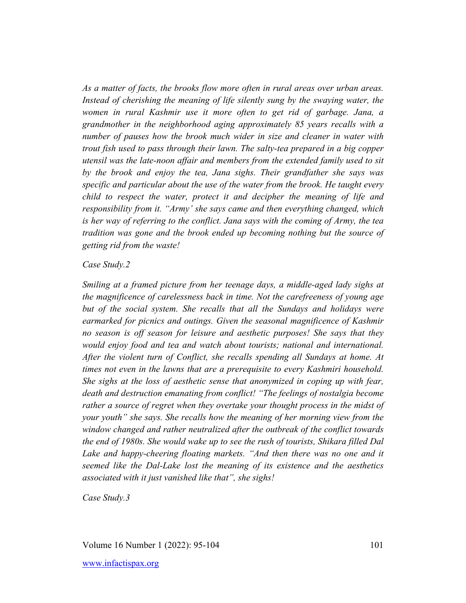*As a matter of facts, the brooks flow more often in rural areas over urban areas. Instead of cherishing the meaning of life silently sung by the swaying water, the women in rural Kashmir use it more often to get rid of garbage. Jana, a grandmother in the neighborhood aging approximately 85 years recalls with a number of pauses how the brook much wider in size and cleaner in water with trout fish used to pass through their lawn. The salty-tea prepared in a big copper utensil was the late-noon affair and members from the extended family used to sit by the brook and enjoy the tea, Jana sighs. Their grandfather she says was specific and particular about the use of the water from the brook. He taught every child to respect the water, protect it and decipher the meaning of life and responsibility from it. "Army' she says came and then everything changed, which is her way of referring to the conflict. Jana says with the coming of Army, the tea tradition was gone and the brook ended up becoming nothing but the source of getting rid from the waste!*

# *Case Study.2*

*Smiling at a framed picture from her teenage days, a middle-aged lady sighs at the magnificence of carelessness back in time. Not the carefreeness of young age but of the social system. She recalls that all the Sundays and holidays were earmarked for picnics and outings. Given the seasonal magnificence of Kashmir no season is off season for leisure and aesthetic purposes! She says that they would enjoy food and tea and watch about tourists; national and international. After the violent turn of Conflict, she recalls spending all Sundays at home. At times not even in the lawns that are a prerequisite to every Kashmiri household. She sighs at the loss of aesthetic sense that anonymized in coping up with fear, death and destruction emanating from conflict! "The feelings of nostalgia become rather a source of regret when they overtake your thought process in the midst of your youth" she says. She recalls how the meaning of her morning view from the window changed and rather neutralized after the outbreak of the conflict towards the end of 1980s. She would wake up to see the rush of tourists, Shikara filled Dal*  Lake and happy-cheering floating markets. "And then there was no one and it *seemed like the Dal-Lake lost the meaning of its existence and the aesthetics associated with it just vanished like that", she sighs!*

*Case Study.3*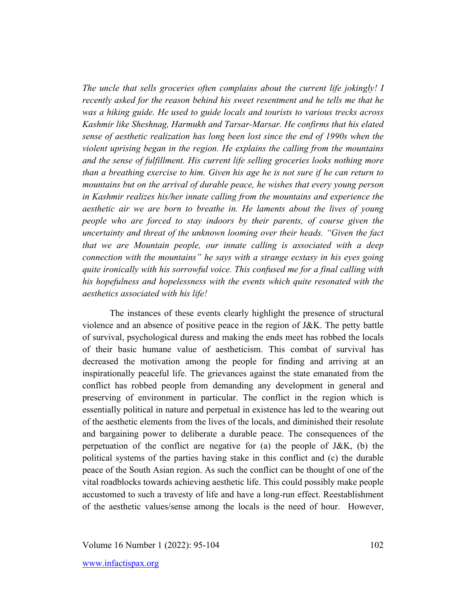*The uncle that sells groceries often complains about the current life jokingly! I recently asked for the reason behind his sweet resentment and he tells me that he was a hiking guide. He used to guide locals and tourists to various trecks across Kashmir like Sheshnag, Harmukh and Tarsar-Marsar. He confirms that his elated sense of aesthetic realization has long been lost since the end of 1990s when the violent uprising began in the region. He explains the calling from the mountains and the sense of fulfillment. His current life selling groceries looks nothing more than a breathing exercise to him. Given his age he is not sure if he can return to mountains but on the arrival of durable peace, he wishes that every young person in Kashmir realizes his/her innate calling from the mountains and experience the aesthetic air we are born to breathe in. He laments about the lives of young people who are forced to stay indoors by their parents, of course given the uncertainty and threat of the unknown looming over their heads. "Given the fact that we are Mountain people, our innate calling is associated with a deep connection with the mountains" he says with a strange ecstasy in his eyes going quite ironically with his sorrowful voice. This confused me for a final calling with his hopefulness and hopelessness with the events which quite resonated with the aesthetics associated with his life!* 

The instances of these events clearly highlight the presence of structural violence and an absence of positive peace in the region of J&K. The petty battle of survival, psychological duress and making the ends meet has robbed the locals of their basic humane value of aestheticism. This combat of survival has decreased the motivation among the people for finding and arriving at an inspirationally peaceful life. The grievances against the state emanated from the conflict has robbed people from demanding any development in general and preserving of environment in particular. The conflict in the region which is essentially political in nature and perpetual in existence has led to the wearing out of the aesthetic elements from the lives of the locals, and diminished their resolute and bargaining power to deliberate a durable peace. The consequences of the perpetuation of the conflict are negative for (a) the people of J&K, (b) the political systems of the parties having stake in this conflict and (c) the durable peace of the South Asian region. As such the conflict can be thought of one of the vital roadblocks towards achieving aesthetic life. This could possibly make people accustomed to such a travesty of life and have a long-run effect. Reestablishment of the aesthetic values/sense among the locals is the need of hour. However,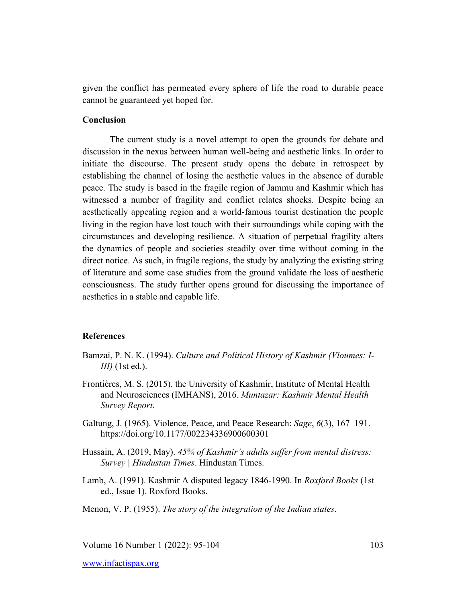given the conflict has permeated every sphere of life the road to durable peace cannot be guaranteed yet hoped for.

# **Conclusion**

The current study is a novel attempt to open the grounds for debate and discussion in the nexus between human well-being and aesthetic links. In order to initiate the discourse. The present study opens the debate in retrospect by establishing the channel of losing the aesthetic values in the absence of durable peace. The study is based in the fragile region of Jammu and Kashmir which has witnessed a number of fragility and conflict relates shocks. Despite being an aesthetically appealing region and a world-famous tourist destination the people living in the region have lost touch with their surroundings while coping with the circumstances and developing resilience. A situation of perpetual fragility alters the dynamics of people and societies steadily over time without coming in the direct notice. As such, in fragile regions, the study by analyzing the existing string of literature and some case studies from the ground validate the loss of aesthetic consciousness. The study further opens ground for discussing the importance of aesthetics in a stable and capable life.

# **References**

- Bamzai, P. N. K. (1994). *Culture and Political History of Kashmir (Vloumes: I-III)* (1st ed.).
- Frontières, M. S. (2015). the University of Kashmir, Institute of Mental Health and Neurosciences (IMHANS), 2016. *Muntazar: Kashmir Mental Health Survey Report*.
- Galtung, J. (1965). Violence, Peace, and Peace Research: *Sage*, *6*(3), 167–191. https://doi.org/10.1177/002234336900600301
- Hussain, A. (2019, May). *45% of Kashmir's adults suffer from mental distress: Survey | Hindustan Times*. Hindustan Times.
- Lamb, A. (1991). Kashmir A disputed legacy 1846-1990. In *Roxford Books* (1st ed., Issue 1). Roxford Books.

Menon, V. P. (1955). *The story of the integration of the Indian states*.